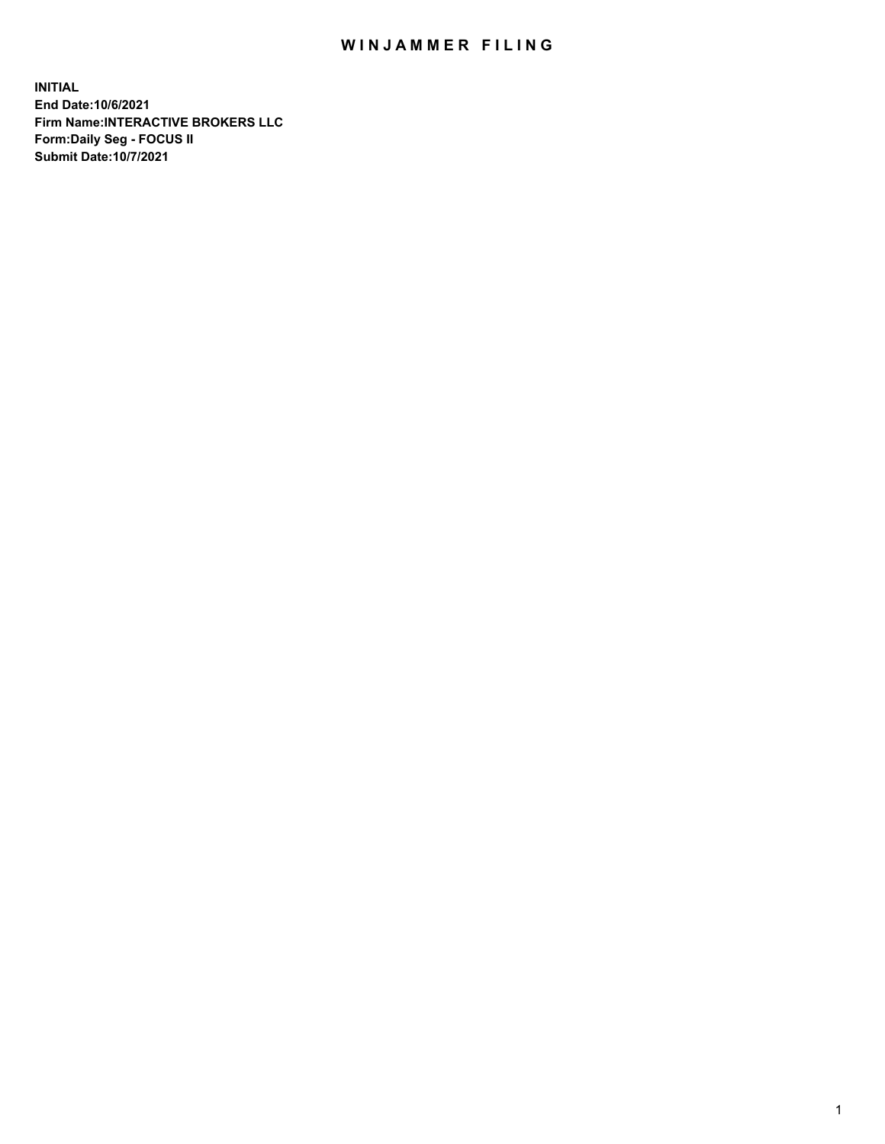## WIN JAMMER FILING

**INITIAL End Date:10/6/2021 Firm Name:INTERACTIVE BROKERS LLC Form:Daily Seg - FOCUS II Submit Date:10/7/2021**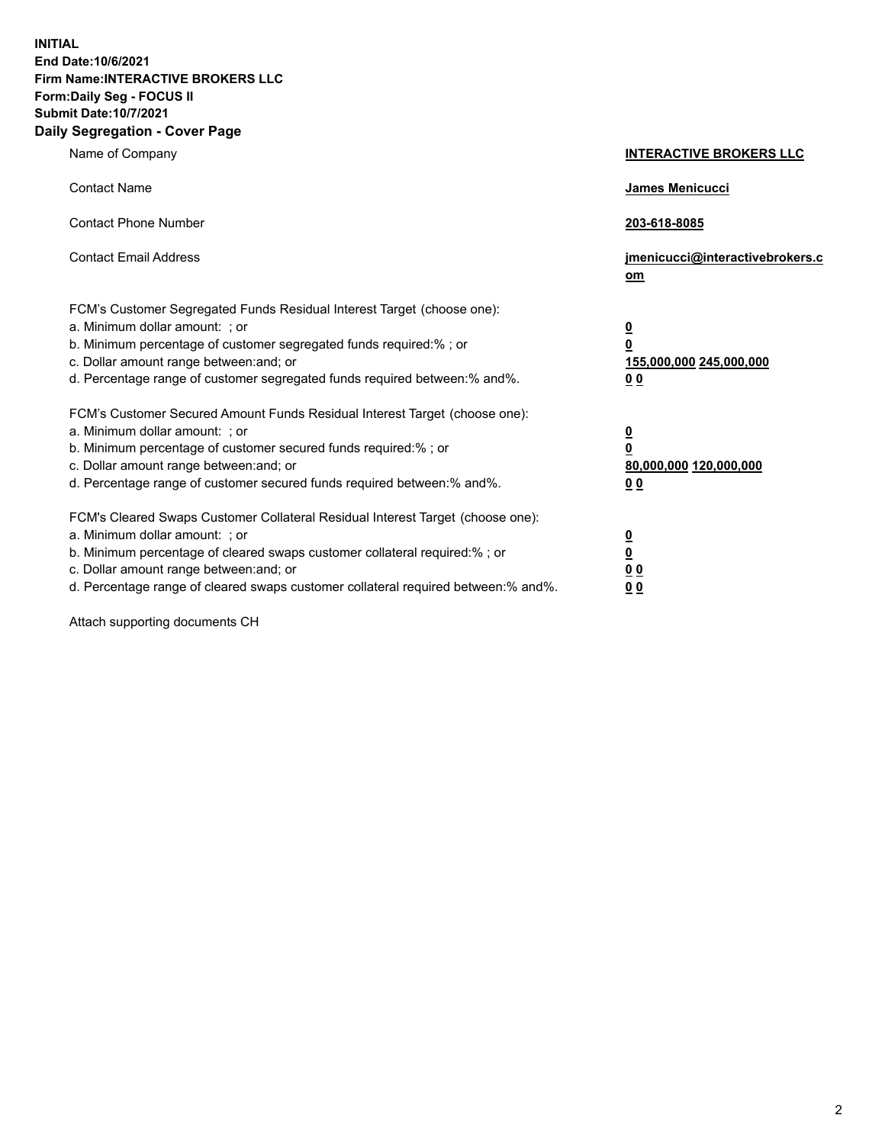**INITIAL End Date:10/6/2021 Firm Name:INTERACTIVE BROKERS LLC Form:Daily Seg - FOCUS II Submit Date:10/7/2021 Daily Segregation - Cover Page**

| Name of Company                                                                                                                                                                                                                                                                                                                | <b>INTERACTIVE BROKERS LLC</b>                                                                  |  |
|--------------------------------------------------------------------------------------------------------------------------------------------------------------------------------------------------------------------------------------------------------------------------------------------------------------------------------|-------------------------------------------------------------------------------------------------|--|
| <b>Contact Name</b>                                                                                                                                                                                                                                                                                                            | James Menicucci                                                                                 |  |
| <b>Contact Phone Number</b>                                                                                                                                                                                                                                                                                                    | 203-618-8085                                                                                    |  |
| <b>Contact Email Address</b>                                                                                                                                                                                                                                                                                                   | jmenicucci@interactivebrokers.c<br>om                                                           |  |
| FCM's Customer Segregated Funds Residual Interest Target (choose one):<br>a. Minimum dollar amount: ; or<br>b. Minimum percentage of customer segregated funds required:% ; or<br>c. Dollar amount range between: and; or<br>d. Percentage range of customer segregated funds required between:% and%.                         | $\overline{\mathbf{0}}$<br>$\overline{\mathbf{0}}$<br>155,000,000 245,000,000<br>0 <sub>0</sub> |  |
| FCM's Customer Secured Amount Funds Residual Interest Target (choose one):<br>a. Minimum dollar amount: ; or<br>b. Minimum percentage of customer secured funds required:% ; or<br>c. Dollar amount range between: and; or<br>d. Percentage range of customer secured funds required between:% and%.                           | $\overline{\mathbf{0}}$<br>0<br>80,000,000 120,000,000<br>0 <sub>0</sub>                        |  |
| FCM's Cleared Swaps Customer Collateral Residual Interest Target (choose one):<br>a. Minimum dollar amount: ; or<br>b. Minimum percentage of cleared swaps customer collateral required:% ; or<br>c. Dollar amount range between: and; or<br>d. Percentage range of cleared swaps customer collateral required between:% and%. | $\overline{\mathbf{0}}$<br><u>0</u><br>$\underline{0}$ $\underline{0}$<br>00                    |  |

Attach supporting documents CH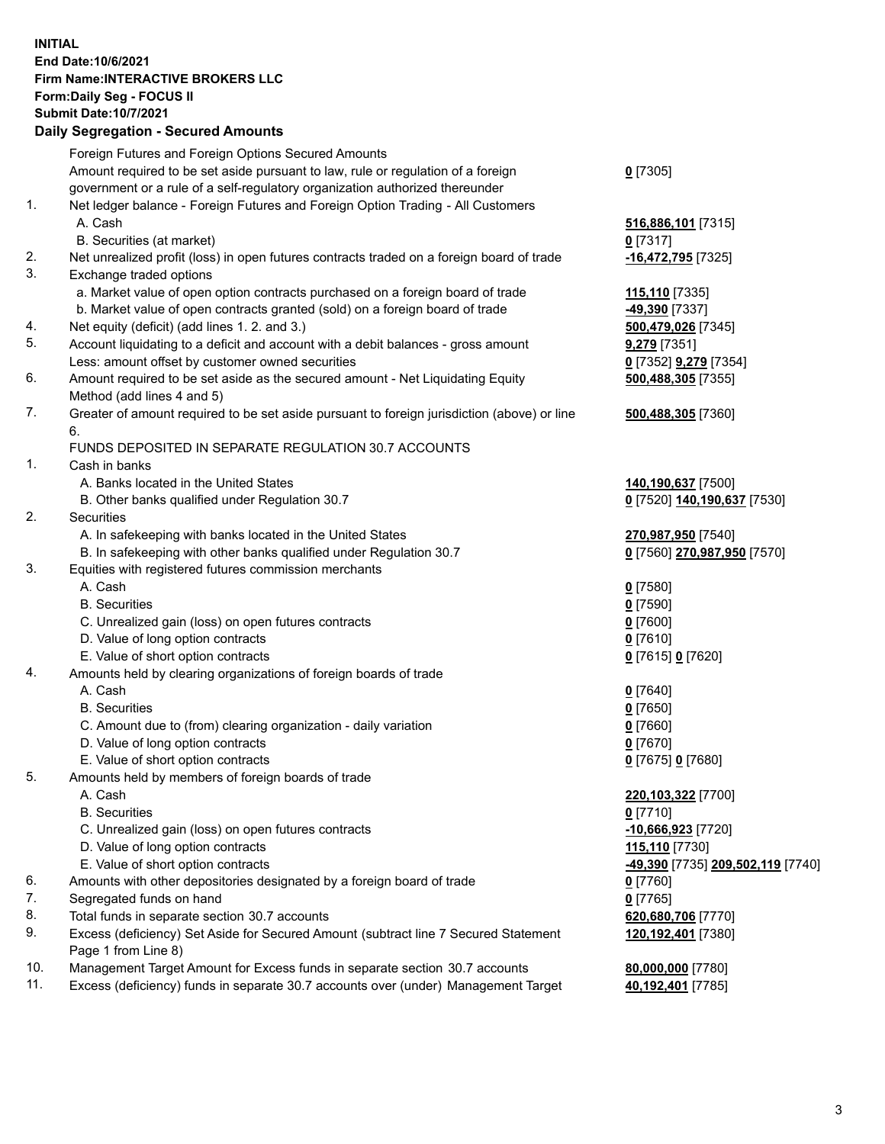**INITIAL End Date:10/6/2021 Firm Name:INTERACTIVE BROKERS LLC Form:Daily Seg - FOCUS II Submit Date:10/7/2021 Daily Segregation - Secured Amounts**

## Foreign Futures and Foreign Options Secured Amounts Amount required to be set aside pursuant to law, rule or regulation of a foreign government or a rule of a self-regulatory organization authorized thereunder **0** [7305] 1. Net ledger balance - Foreign Futures and Foreign Option Trading - All Customers A. Cash **516,886,101** [7315] B. Securities (at market) **0** [7317] 2. Net unrealized profit (loss) in open futures contracts traded on a foreign board of trade **-16,472,795** [7325] 3. Exchange traded options a. Market value of open option contracts purchased on a foreign board of trade **115,110** [7335] b. Market value of open contracts granted (sold) on a foreign board of trade **-49,390** [7337] 4. Net equity (deficit) (add lines 1. 2. and 3.) **500,479,026** [7345] 5. Account liquidating to a deficit and account with a debit balances - gross amount **9,279** [7351] Less: amount offset by customer owned securities **0** [7352] **9,279** [7354] 6. Amount required to be set aside as the secured amount - Net Liquidating Equity Method (add lines 4 and 5) **500,488,305** [7355] 7. Greater of amount required to be set aside pursuant to foreign jurisdiction (above) or line 6. **500,488,305** [7360] FUNDS DEPOSITED IN SEPARATE REGULATION 30.7 ACCOUNTS 1. Cash in banks A. Banks located in the United States **140,190,637** [7500] B. Other banks qualified under Regulation 30.7 **0** [7520] **140,190,637** [7530] 2. Securities A. In safekeeping with banks located in the United States **270,987,950** [7540] B. In safekeeping with other banks qualified under Regulation 30.7 **0** [7560] **270,987,950** [7570] 3. Equities with registered futures commission merchants A. Cash **0** [7580] B. Securities **0** [7590] C. Unrealized gain (loss) on open futures contracts **0** [7600] D. Value of long option contracts **0** [7610] E. Value of short option contracts **0** [7615] **0** [7620] 4. Amounts held by clearing organizations of foreign boards of trade A. Cash **0** [7640] B. Securities **0** [7650] C. Amount due to (from) clearing organization - daily variation **0** [7660] D. Value of long option contracts **0** [7670] E. Value of short option contracts **0** [7675] **0** [7680] 5. Amounts held by members of foreign boards of trade A. Cash **220,103,322** [7700] B. Securities **0** [7710] C. Unrealized gain (loss) on open futures contracts **-10,666,923** [7720] D. Value of long option contracts **115,110** [7730] E. Value of short option contracts **-49,390** [7735] **209,502,119** [7740] 6. Amounts with other depositories designated by a foreign board of trade **0** [7760] 7. Segregated funds on hand<br>8. Total funds in separate section 30.7 accounts **0.0 million and COM** 620,680,706 [7770] 8. Total funds in separate section 30.7 accounts 9. Excess (deficiency) Set Aside for Secured Amount (subtract line 7 Secured Statement Page 1 from Line 8) **120,192,401** [7380] 10. Management Target Amount for Excess funds in separate section 30.7 accounts **80,000,000** [7780] 11. Excess (deficiency) funds in separate 30.7 accounts over (under) Management Target **40,192,401** [7785]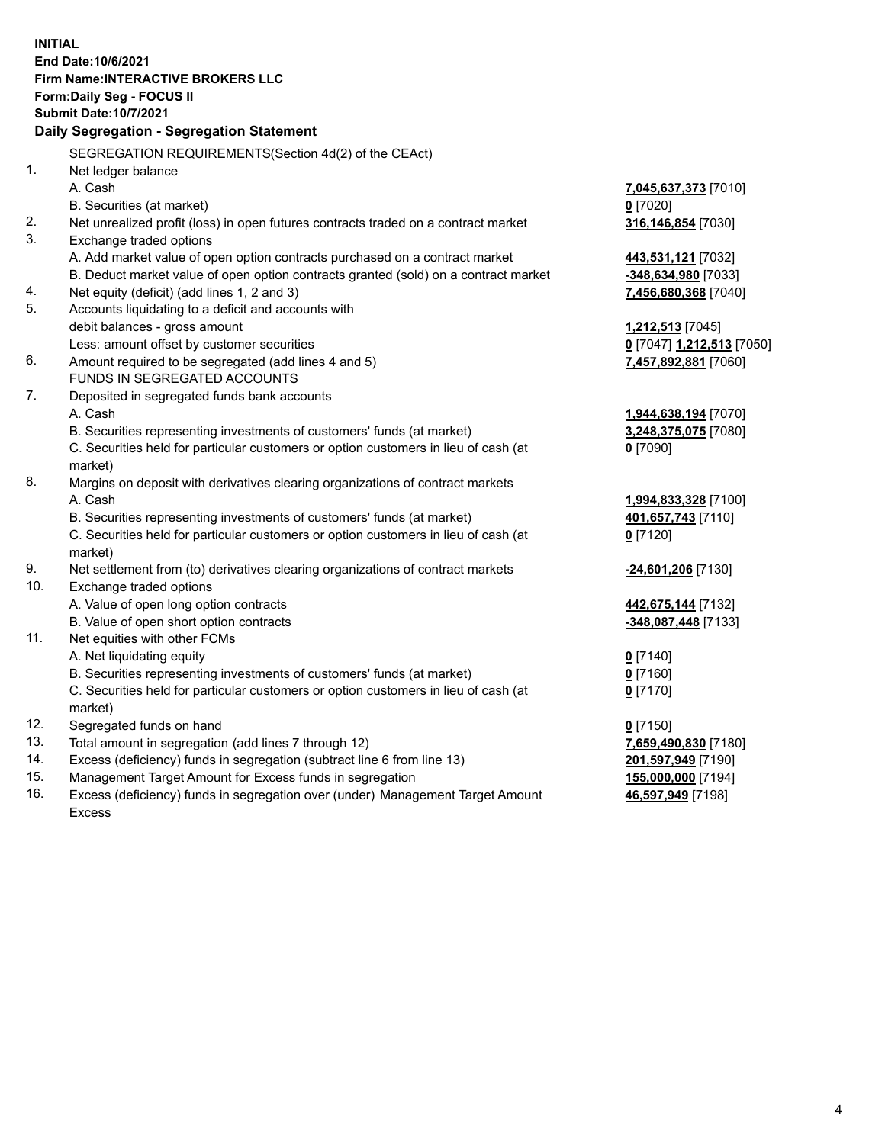**INITIAL End Date:10/6/2021 Firm Name:INTERACTIVE BROKERS LLC Form:Daily Seg - FOCUS II Submit Date:10/7/2021 Daily Segregation - Segregation Statement** SEGREGATION REQUIREMENTS(Section 4d(2) of the CEAct) 1. Net ledger balance A. Cash **7,045,637,373** [7010] B. Securities (at market) **0** [7020] 2. Net unrealized profit (loss) in open futures contracts traded on a contract market **316,146,854** [7030] 3. Exchange traded options A. Add market value of open option contracts purchased on a contract market **443,531,121** [7032] B. Deduct market value of open option contracts granted (sold) on a contract market **-348,634,980** [7033] 4. Net equity (deficit) (add lines 1, 2 and 3) **7,456,680,368** [7040] 5. Accounts liquidating to a deficit and accounts with debit balances - gross amount **1,212,513** [7045] Less: amount offset by customer securities **0** [7047] **1,212,513** [7050] 6. Amount required to be segregated (add lines 4 and 5) **7,457,892,881** [7060] FUNDS IN SEGREGATED ACCOUNTS 7. Deposited in segregated funds bank accounts A. Cash **1,944,638,194** [7070] B. Securities representing investments of customers' funds (at market) **3,248,375,075** [7080] C. Securities held for particular customers or option customers in lieu of cash (at market) **0** [7090] 8. Margins on deposit with derivatives clearing organizations of contract markets A. Cash **1,994,833,328** [7100] B. Securities representing investments of customers' funds (at market) **401,657,743** [7110] C. Securities held for particular customers or option customers in lieu of cash (at market) **0** [7120] 9. Net settlement from (to) derivatives clearing organizations of contract markets **-24,601,206** [7130] 10. Exchange traded options A. Value of open long option contracts **442,675,144** [7132] B. Value of open short option contracts **-348,087,448** [7133] 11. Net equities with other FCMs A. Net liquidating equity **0** [7140] B. Securities representing investments of customers' funds (at market) **0** [7160] C. Securities held for particular customers or option customers in lieu of cash (at market) **0** [7170] 12. Segregated funds on hand **0** [7150] 13. Total amount in segregation (add lines 7 through 12) **7,659,490,830** [7180] 14. Excess (deficiency) funds in segregation (subtract line 6 from line 13) **201,597,949** [7190] 15. Management Target Amount for Excess funds in segregation **155,000,000** [7194] 16. Excess (deficiency) funds in segregation over (under) Management Target Amount **46,597,949** [7198]

Excess